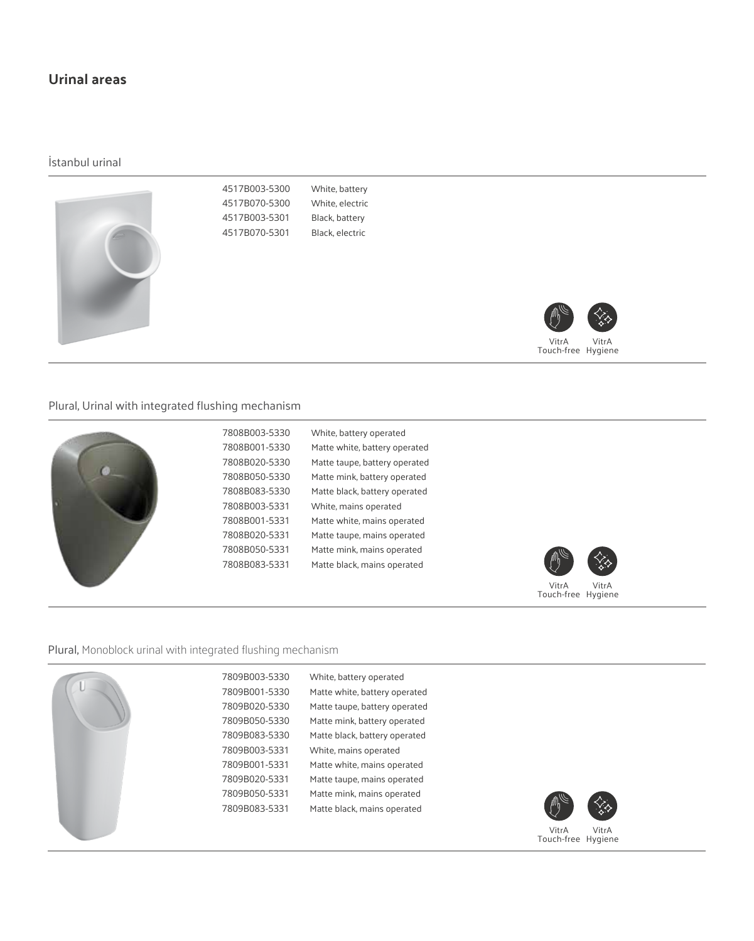# **Urinal areas**

İstanbul urinal



4517B003-5300 4517B070-5300 4517B003-5301 4517B070-5301 White, battery White, electric Black, battery Black, electric



VitrA Touch-free Hygiene VitrA

### Plural, Urinal with integrated flushing mechanism

|  | 7808B003-5330<br>7808B001-5330<br>7808B020-5330 | White, battery operated<br>Matte white, battery operated                                       |                                      |
|--|-------------------------------------------------|------------------------------------------------------------------------------------------------|--------------------------------------|
|  | 7808B050-5330<br>7808B083-5330                  | Matte taupe, battery operated<br>Matte mink, battery operated<br>Matte black, battery operated |                                      |
|  | 7808B003-5331<br>7808B001-5331<br>7808B020-5331 | White, mains operated<br>Matte white, mains operated<br>Matte taupe, mains operated            |                                      |
|  | 7808B050-5331<br>7808B083-5331                  | Matte mink, mains operated<br>Matte black, mains operated                                      | ∕∕∕<br>M                             |
|  |                                                 |                                                                                                | VitrA<br>VitrA<br>Touch-free Hygiene |

#### Plural, Monoblock urinal with integrated flushing mechanism

7809B003-5330 7809B001-5330 7809B020-5330 7809B050-5330 7809B083-5330 7809B003-5331 7809B001-5331 7809B020-5331 7809B050-5331 7809B083-5331 White, battery operated



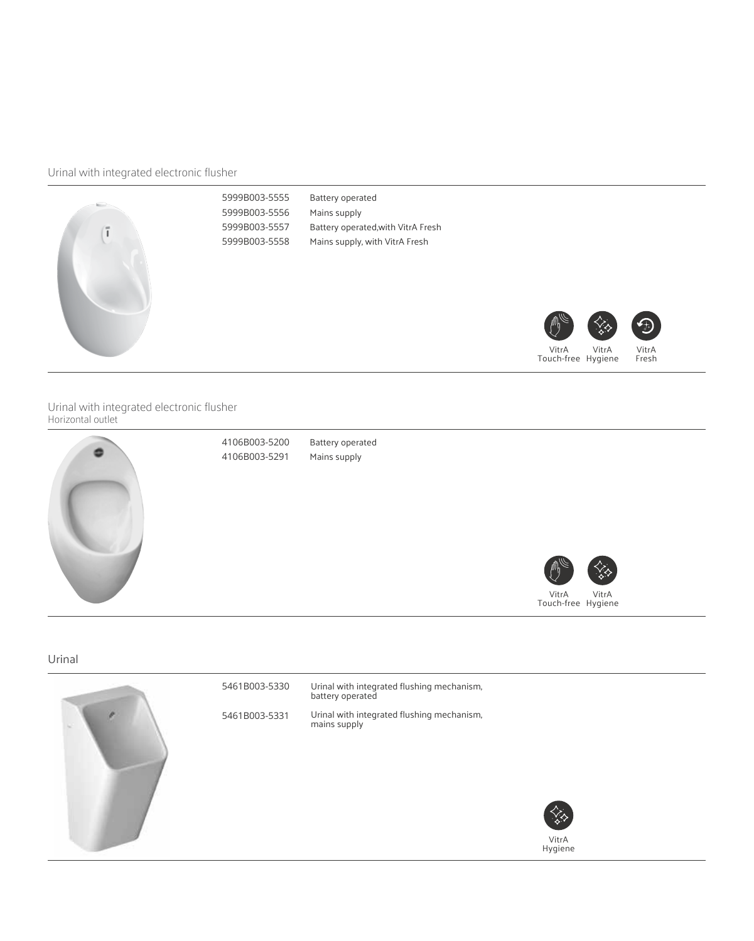# Urinal with integrated electronic flusher



Urinal with integrated electronic flusher Horizontal outlet



Urinal